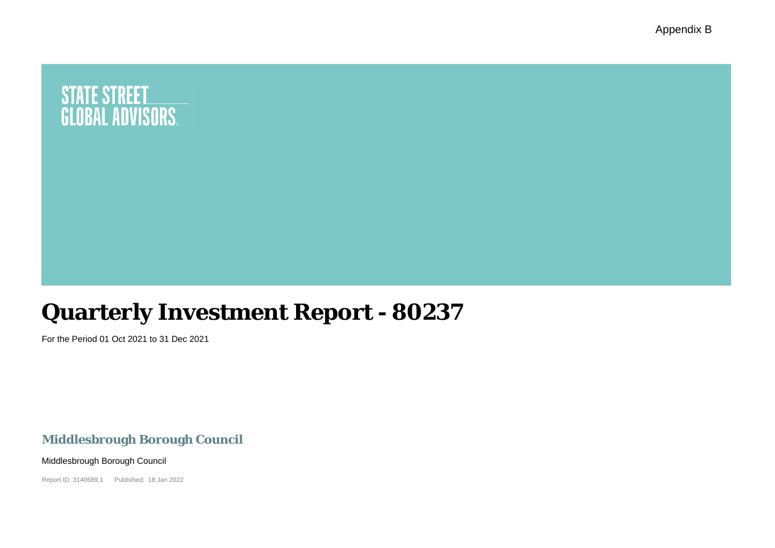Appendix B

# **STATE STREET<br>GLOBAL ADVISORS.**

# **Quarterly Investment Report - 80237**

For the Period 01 Oct 2021 to 31 Dec 2021

### **Middlesbrough Borough Council**

Middlesbrough Borough Council

Report ID: 3140689.1 Published: 18 Jan 2022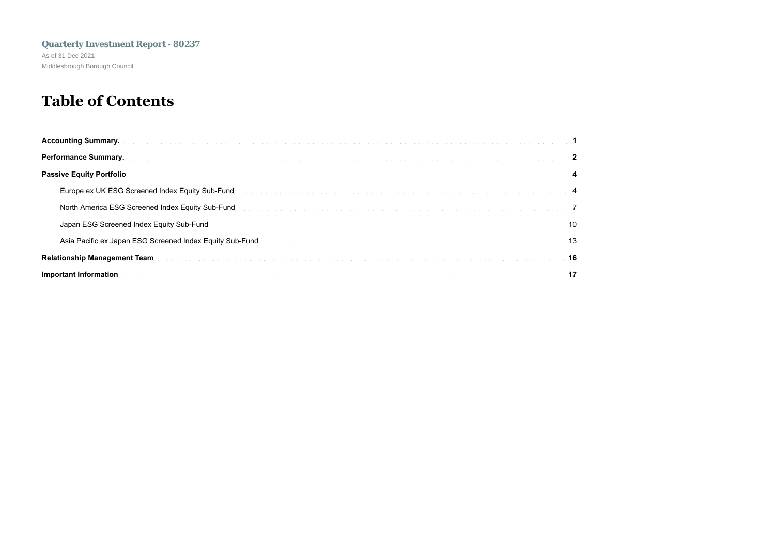## **Table of Contents**

| Passive Equity Portfolio (1999) (1999) (1999) (1999) (1999) (1999) (1999) (1999) (1999) (1999) (1999) (1999) (1999) (1999) (1999) (1999) (1999) (1999) (1999) (1999) (1999) (1999) (1999) (1999) (1999) (1999) (1999) (1999) (      |
|-------------------------------------------------------------------------------------------------------------------------------------------------------------------------------------------------------------------------------------|
| Europe ex UK ESG Screened Index Equity Sub-Fund the contract of the contract of the contract of the contract of the contract of the contract of the contract of the contract of the contract of the contract of the contract o      |
| North America ESG Screened Index Equity Sub-Fund <b>Explorer Act American Construction</b> Construction of the Construction of Technical Construction of Technical Construction of Technical Construction of Technical Construction |
| Japan ESG Screened Index Equity Sub-Fund with a state of the control of the control of the control of the control of the control of the control of the control of the control of the control of the control of the control of       |
| 13. Asia Pacific ex Japan ESG Screened Index Equity Sub-Fund Development and the content of the content of the Material of the Material of the Content of the Content of the Content of the Content of the Content of the Cont      |
|                                                                                                                                                                                                                                     |
| Important Information (1999) (1999) (1999) (1999) (1999) (1999) (1999) (1999) (1999) (1999) (1999) (1999) (1999) (1999) (1999) (1999) (1999) (1999) (1999) (1999) (1999) (1999) (1999) (1999) (1999) (1999) (1999) (1999) (199      |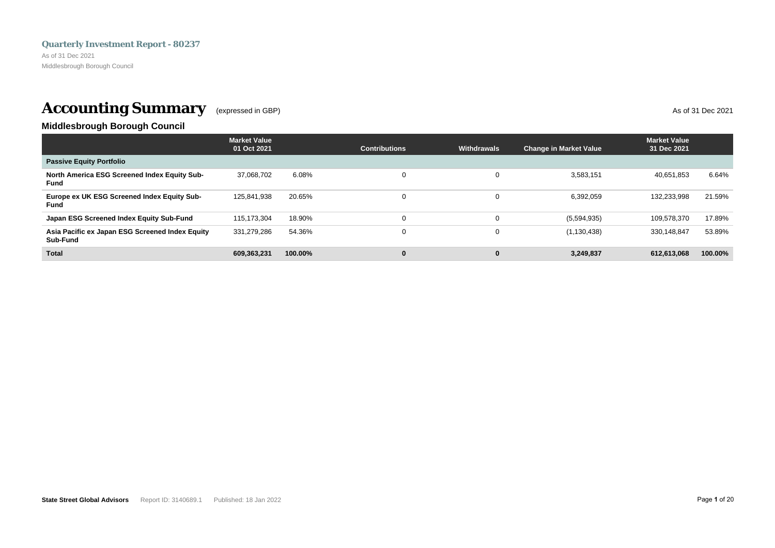<span id="page-2-0"></span>As of 31 Dec 2021 Middlesbrough Borough Council

# **Accounting Summary** (expressed in GBP) As of 31 Dec 2021

### **Middlesbrough Borough Council**

|                                                             | <b>Market Value</b><br>01 Oct 2021 |          | <b>Contributions</b> | <b>Withdrawals</b> | <b>Change in Market Value</b> | <b>Market Value</b><br>31 Dec 2021 |         |
|-------------------------------------------------------------|------------------------------------|----------|----------------------|--------------------|-------------------------------|------------------------------------|---------|
| <b>Passive Equity Portfolio</b>                             |                                    |          |                      |                    |                               |                                    |         |
| North America ESG Screened Index Equity Sub-<br>Fund        | 37.068.702                         | $6.08\%$ | $\Omega$             |                    | 3,583,151                     | 40.651.853                         | 6.64%   |
| Europe ex UK ESG Screened Index Equity Sub-<br><b>Fund</b>  | 125.841.938                        | 20.65%   | $\Omega$             |                    | 6,392,059                     | 132.233.998                        | 21.59%  |
| Japan ESG Screened Index Equity Sub-Fund                    | 115.173.304                        | 18.90%   | 0                    |                    | (5,594,935)                   | 109,578,370                        | 17.89%  |
| Asia Pacific ex Japan ESG Screened Index Equity<br>Sub-Fund | 331,279,286                        | 54.36%   | 0                    |                    | (1, 130, 438)                 | 330.148.847                        | 53.89%  |
| <b>Total</b>                                                | 609.363.231                        | 100.00%  | $\bf{0}$             |                    | 3,249,837                     | 612.613.068                        | 100.00% |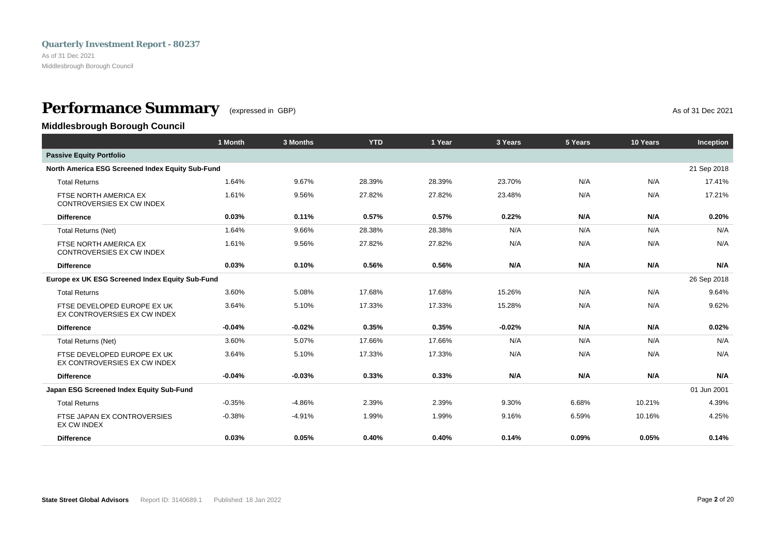<span id="page-3-0"></span>As of 31 Dec 2021 Middlesbrough Borough Council

### **Performance Summary** (expressed in GBP) **As of 31 Dec 2021**

**Middlesbrough Borough Council**

|                                                             | 1 Month  | 3 Months | <b>YTD</b> | 1 Year | 3 Years  | 5 Years | 10 Years | Inception   |
|-------------------------------------------------------------|----------|----------|------------|--------|----------|---------|----------|-------------|
| <b>Passive Equity Portfolio</b>                             |          |          |            |        |          |         |          |             |
| North America ESG Screened Index Equity Sub-Fund            |          |          |            |        |          |         |          | 21 Sep 2018 |
| <b>Total Returns</b>                                        | 1.64%    | 9.67%    | 28.39%     | 28.39% | 23.70%   | N/A     | N/A      | 17.41%      |
| FTSE NORTH AMERICA EX<br>CONTROVERSIES EX CW INDEX          | 1.61%    | 9.56%    | 27.82%     | 27.82% | 23.48%   | N/A     | N/A      | 17.21%      |
| <b>Difference</b>                                           | 0.03%    | 0.11%    | 0.57%      | 0.57%  | 0.22%    | N/A     | N/A      | 0.20%       |
| <b>Total Returns (Net)</b>                                  | 1.64%    | 9.66%    | 28.38%     | 28.38% | N/A      | N/A     | N/A      | N/A         |
| FTSE NORTH AMERICA EX<br>CONTROVERSIES EX CW INDEX          | 1.61%    | 9.56%    | 27.82%     | 27.82% | N/A      | N/A     | N/A      | N/A         |
| <b>Difference</b>                                           | 0.03%    | 0.10%    | 0.56%      | 0.56%  | N/A      | N/A     | N/A      | N/A         |
| Europe ex UK ESG Screened Index Equity Sub-Fund             |          |          |            |        |          |         |          | 26 Sep 2018 |
| <b>Total Returns</b>                                        | 3.60%    | 5.08%    | 17.68%     | 17.68% | 15.26%   | N/A     | N/A      | 9.64%       |
| FTSE DEVELOPED EUROPE EX UK<br>EX CONTROVERSIES EX CW INDEX | 3.64%    | 5.10%    | 17.33%     | 17.33% | 15.28%   | N/A     | N/A      | 9.62%       |
| <b>Difference</b>                                           | $-0.04%$ | $-0.02%$ | 0.35%      | 0.35%  | $-0.02%$ | N/A     | N/A      | 0.02%       |
| <b>Total Returns (Net)</b>                                  | 3.60%    | 5.07%    | 17.66%     | 17.66% | N/A      | N/A     | N/A      | N/A         |
| FTSE DEVELOPED EUROPE EX UK<br>EX CONTROVERSIES EX CW INDEX | 3.64%    | 5.10%    | 17.33%     | 17.33% | N/A      | N/A     | N/A      | N/A         |
| <b>Difference</b>                                           | $-0.04%$ | $-0.03%$ | 0.33%      | 0.33%  | N/A      | N/A     | N/A      | N/A         |
| Japan ESG Screened Index Equity Sub-Fund                    |          |          |            |        |          |         |          | 01 Jun 2001 |
| <b>Total Returns</b>                                        | $-0.35%$ | $-4.86%$ | 2.39%      | 2.39%  | 9.30%    | 6.68%   | 10.21%   | 4.39%       |
| FTSE JAPAN EX CONTROVERSIES<br><b>EX CW INDEX</b>           | $-0.38%$ | $-4.91%$ | 1.99%      | 1.99%  | 9.16%    | 6.59%   | 10.16%   | 4.25%       |
| <b>Difference</b>                                           | 0.03%    | 0.05%    | 0.40%      | 0.40%  | 0.14%    | 0.09%   | 0.05%    | 0.14%       |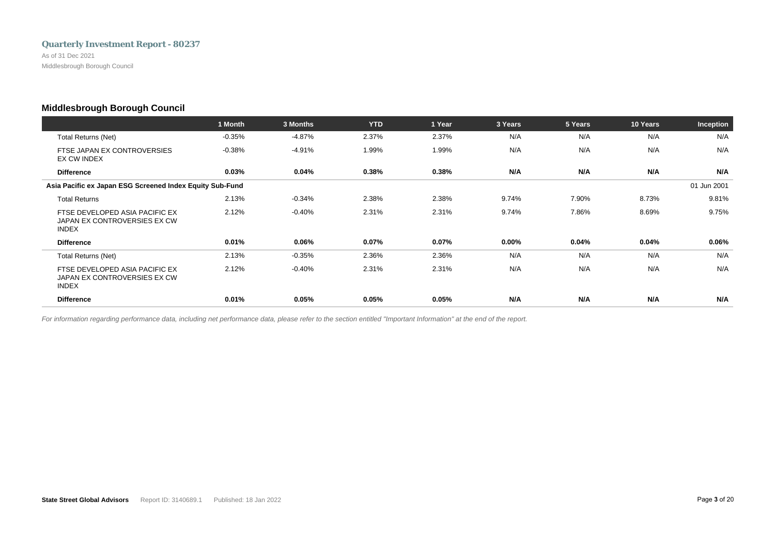As of 31 Dec 2021 Middlesbrough Borough Council

### **Middlesbrough Borough Council**

|                                                                                | 1 Month  | 3 Months | <b>YTD</b> | 1 Year | 3 Years  | 5 Years | 10 Years | Inception   |
|--------------------------------------------------------------------------------|----------|----------|------------|--------|----------|---------|----------|-------------|
| <b>Total Returns (Net)</b>                                                     | $-0.35%$ | $-4.87%$ | 2.37%      | 2.37%  | N/A      | N/A     | N/A      | N/A         |
| FTSE JAPAN EX CONTROVERSIES<br>EX CW INDEX                                     | $-0.38%$ | $-4.91%$ | 1.99%      | 1.99%  | N/A      | N/A     | N/A      | N/A         |
| <b>Difference</b>                                                              | 0.03%    | 0.04%    | 0.38%      | 0.38%  | N/A      | N/A     | N/A      | N/A         |
| Asia Pacific ex Japan ESG Screened Index Equity Sub-Fund                       |          |          |            |        |          |         |          | 01 Jun 2001 |
| <b>Total Returns</b>                                                           | 2.13%    | $-0.34%$ | 2.38%      | 2.38%  | 9.74%    | 7.90%   | 8.73%    | 9.81%       |
| FTSE DEVELOPED ASIA PACIFIC EX<br>JAPAN EX CONTROVERSIES EX CW<br><b>INDEX</b> | 2.12%    | $-0.40%$ | 2.31%      | 2.31%  | 9.74%    | 7.86%   | 8.69%    | 9.75%       |
| <b>Difference</b>                                                              | 0.01%    | 0.06%    | 0.07%      | 0.07%  | $0.00\%$ | 0.04%   | 0.04%    | 0.06%       |
| Total Returns (Net)                                                            | 2.13%    | $-0.35%$ | 2.36%      | 2.36%  | N/A      | N/A     | N/A      | N/A         |
| FTSE DEVELOPED ASIA PACIFIC EX<br>JAPAN EX CONTROVERSIES EX CW<br><b>INDEX</b> | 2.12%    | $-0.40%$ | 2.31%      | 2.31%  | N/A      | N/A     | N/A      | N/A         |
| <b>Difference</b>                                                              | 0.01%    | 0.05%    | 0.05%      | 0.05%  | N/A      | N/A     | N/A      | N/A         |

*For information regarding performance data, including net performance data, please refer to the section entitled "Important Information" at the end of the report.*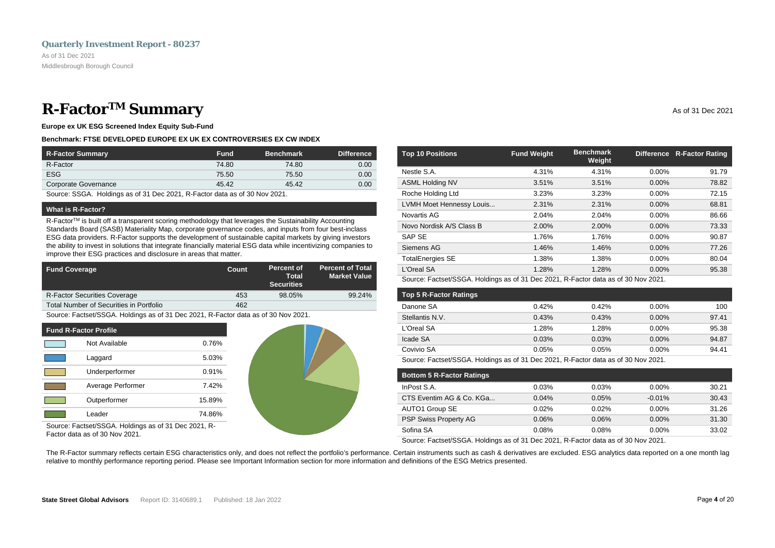### <span id="page-5-0"></span>**R-Factor<sup>TM</sup> Summary** As of 31 Dec 2021

**Europe ex UK ESG Screened Index Equity Sub-Fund**

#### **Benchmark: FTSE DEVELOPED EUROPE EX UK EX CONTROVERSIES EX CW INDEX**

| R-Factor Summary     | <b>Fund</b> | <b>Benchmark</b> | <b>Difference</b> |
|----------------------|-------------|------------------|-------------------|
| R-Factor             | 74.80       | 74.80            | 0.00              |
| <b>ESG</b>           | 75.50       | 75.50            | 0.00              |
| Corporate Governance | 45.42       | 45.42            | 0.00              |

Source: SSGA. Holdings as of 31 Dec 2021, R-Factor data as of 30 Nov 2021.

#### **What is R-Factor?**

R-Factor<sup>TM</sup> is built off a transparent scoring methodology that leverages the Sustainability Accounting Standards Board (SASB) Materiality Map, corporate governance codes, and inputs from four best-inclass ESG data providers. R-Factor supports the development of sustainable capital markets by giving investors the ability to invest in solutions that integrate financially material ESG data while incentivizing companies to improve their ESG practices and disclosure in areas that matter.

| <b>Fund Coverage</b>                    | Count | Percent of<br>Total<br><b>Securities</b> | <b>Percent of Total</b><br><b>Market Value</b> |
|-----------------------------------------|-------|------------------------------------------|------------------------------------------------|
| <b>R-Factor Securities Coverage</b>     | 453   | 98.05%                                   | 99.24%                                         |
| Total Number of Securities in Portfolio | 462   |                                          |                                                |

Source: Factset/SSGA. Holdings as of 31 Dec 2021, R-Factor data as of 30 Nov 2021.

| <b>Fund R-Factor Profile</b> |        |
|------------------------------|--------|
| Not Available                | 0.76%  |
| Laggard                      | 5.03%  |
| Underperformer               | 0.91%  |
| Average Performer            | 7.42%  |
| Outperformer                 | 15.89% |
| I eader                      | 74.86% |



Source: Factset/SSGA. Holdings as of 31 Dec 2021, R-Factor data as of 30 Nov 2021.

| <b>Top 10 Positions</b>  | <b>Fund Weight</b> | <b>Benchmark</b><br>Weight |          | Difference R-Factor Rating |
|--------------------------|--------------------|----------------------------|----------|----------------------------|
| Nestle S.A.              | 4.31%              | 4.31%                      | $0.00\%$ | 91.79                      |
| <b>ASML Holding NV</b>   | 3.51%              | 3.51%                      | 0.00%    | 78.82                      |
| Roche Holding Ltd        | 3.23%              | 3.23%                      | $0.00\%$ | 72.15                      |
| LVMH Moet Hennessy Louis | 2.31%              | 2.31%                      | 0.00%    | 68.81                      |
| Novartis AG              | 2.04%              | 2.04%                      | $0.00\%$ | 86.66                      |
| Novo Nordisk A/S Class B | 2.00%              | 2.00%                      | $0.00\%$ | 73.33                      |
| SAP SE                   | 1.76%              | 1.76%                      | 0.00%    | 90.87                      |
| Siemens AG               | 1.46%              | 1.46%                      | 0.00%    | 77.26                      |
| <b>TotalEnergies SE</b>  | 1.38%              | 1.38%                      | $0.00\%$ | 80.04                      |
| L'Oreal SA               | 1.28%              | 1.28%                      | $0.00\%$ | 95.38                      |

Source: Factset/SSGA. Holdings as of 31 Dec 2021, R-Factor data as of 30 Nov 2021.

| <b>Top 5 R-Factor Ratings</b> |       |       |          |       |
|-------------------------------|-------|-------|----------|-------|
| Danone SA                     | 0.42% | 0.42% | $0.00\%$ | 100   |
| Stellantis N.V.               | 0.43% | 0.43% | $0.00\%$ | 97.41 |
| L'Oreal SA                    | 1.28% | 1.28% | $0.00\%$ | 95.38 |
| Icade SA                      | 0.03% | 0.03% | $0.00\%$ | 94.87 |
| Covivio SA                    | 0.05% | 0.05% | $0.00\%$ | 94.41 |

Source: Factset/SSGA. Holdings as of 31 Dec 2021, R-Factor data as of 30 Nov 2021.

| <b>Bottom 5 R-Factor Ratings</b> |       |       |          |       |
|----------------------------------|-------|-------|----------|-------|
| InPost S.A.                      | 0.03% | 0.03% | $0.00\%$ | 30.21 |
| CTS Eventim AG & Co. KGa         | 0.04% | 0.05% | $-0.01%$ | 30.43 |
| AUTO1 Group SE                   | 0.02% | 0.02% | $0.00\%$ | 31.26 |
| <b>PSP Swiss Property AG</b>     | 0.06% | 0.06% | $0.00\%$ | 31.30 |
| Sofina SA                        | 0.08% | 0.08% | $0.00\%$ | 33.02 |

Source: Factset/SSGA. Holdings as of 31 Dec 2021, R-Factor data as of 30 Nov 2021.

The R-Factor summary reflects certain ESG characteristics only, and does not reflect the portfolio's performance. Certain instruments such as cash & derivatives are excluded. ESG analytics data reported on a one month lag relative to monthly performance reporting period. Please see Important Information section for more information and definitions of the ESG Metrics presented.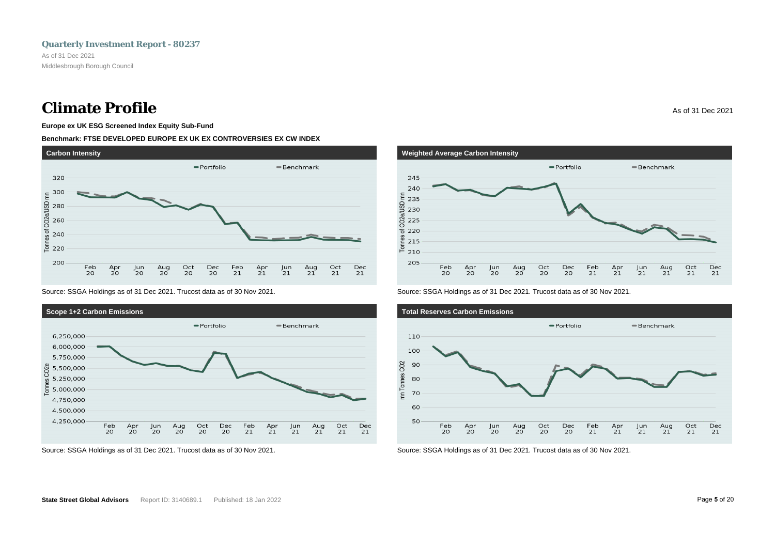### **Climate Profile** As of 31 Dec 2021

#### **Europe ex UK ESG Screened Index Equity Sub-Fund**

#### **Benchmark: FTSE DEVELOPED EUROPE EX UK EX CONTROVERSIES EX CW INDEX**



Source: SSGA Holdings as of 31 Dec 2021. Trucost data as of 30 Nov 2021.



Source: SSGA Holdings as of 31 Dec 2021. Trucost data as of 30 Nov 2021.



Source: SSGA Holdings as of 31 Dec 2021. Trucost data as of 30 Nov 2021.



Source: SSGA Holdings as of 31 Dec 2021. Trucost data as of 30 Nov 2021.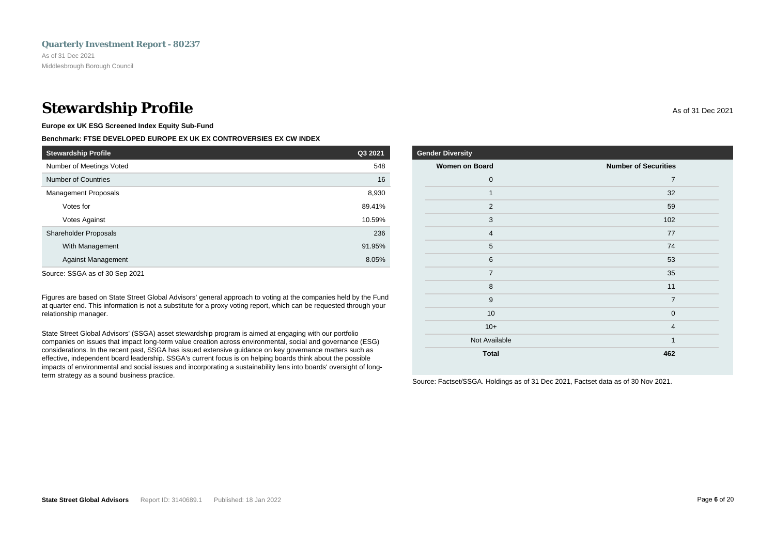### **Stewardship Profile** As of 31 Dec 2021

**Europe ex UK ESG Screened Index Equity Sub-Fund**

#### **Benchmark: FTSE DEVELOPED EUROPE EX UK EX CONTROVERSIES EX CW INDEX**

| <b>Stewardship Profile</b>  | Q3 2021 |
|-----------------------------|---------|
| Number of Meetings Voted    | 548     |
| <b>Number of Countries</b>  | 16      |
| <b>Management Proposals</b> | 8,930   |
| Votes for                   | 89.41%  |
| Votes Against               | 10.59%  |
| Shareholder Proposals       | 236     |
| With Management             | 91.95%  |
| <b>Against Management</b>   | 8.05%   |
|                             |         |

Source: SSGA as of 30 Sep 2021

Figures are based on State Street Global Advisors' general approach to voting at the companies held by the Fund at quarter end. This information is not a substitute for a proxy voting report, which can be requested through your relationship manager.

State Street Global Advisors' (SSGA) asset stewardship program is aimed at engaging with our portfolio companies on issues that impact long-term value creation across environmental, social and governance (ESG) considerations. In the recent past, SSGA has issued extensive guidance on key governance matters such as effective, independent board leadership. SSGA's current focus is on helping boards think about the possible impacts of environmental and social issues and incorporating a sustainability lens into boards' oversight of longterm strategy as a sound business practice.

### **Gender Diversity Women on Board Number of Securities** 0  $\sim$  7 1  $\sim$  32 2  $\sim$  59  $3$  102 4 77  $5$  74  $6$  53  $7$  35 8 11 9 7  $10$  0

 $10+$  4 Not Available 1 and 1 and 1 and 1 and 1 and 1 and 1 and 1 and 1 and 1 and 1 and 1 and 1 and 1 and 1 and 1 and 1 **Total 462**

Source: Factset/SSGA. Holdings as of 31 Dec 2021, Factset data as of 30 Nov 2021.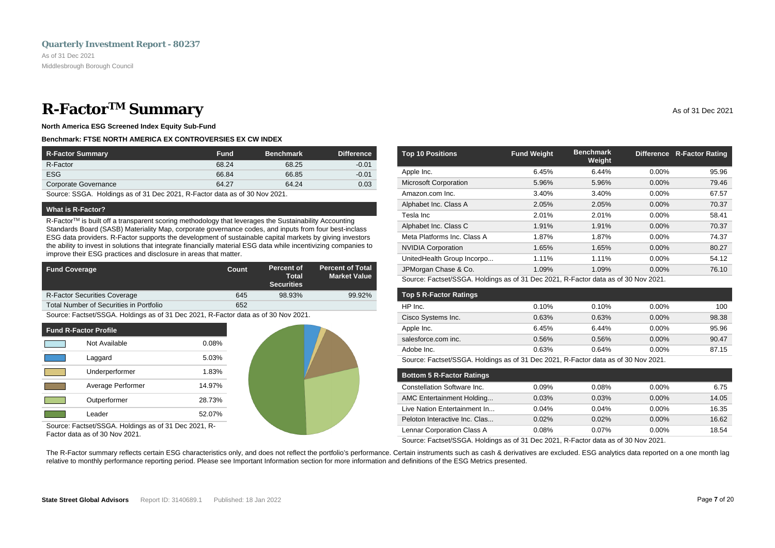### <span id="page-8-0"></span>**R-Factor<sup>TM</sup> Summary** As of 31 Dec 2021

**North America ESG Screened Index Equity Sub-Fund**

#### **Benchmark: FTSE NORTH AMERICA EX CONTROVERSIES EX CW INDEX**

| <b>R-Factor Summary</b> | <b>Fund</b> | <b>Benchmark</b> | <b>Difference</b> |
|-------------------------|-------------|------------------|-------------------|
| R-Factor                | 68.24       | 68.25            | $-0.01$           |
| <b>ESG</b>              | 66.84       | 66.85            | $-0.01$           |
| Corporate Governance    | 64.27       | 64.24            | 0.03              |

Source: SSGA. Holdings as of 31 Dec 2021, R-Factor data as of 30 Nov 2021.

#### **What is R-Factor?**

R-Factor<sup>TM</sup> is built off a transparent scoring methodology that leverages the Sustainability Accounting Standards Board (SASB) Materiality Map, corporate governance codes, and inputs from four best-inclass ESG data providers. R-Factor supports the development of sustainable capital markets by giving investors the ability to invest in solutions that integrate financially material ESG data while incentivizing companies to improve their ESG practices and disclosure in areas that matter.

| <b>Fund Coverage</b>                    | Count | Percent of<br>Total<br><b>Securities</b> | <b>Percent of Total</b><br><b>Market Value</b> |
|-----------------------------------------|-------|------------------------------------------|------------------------------------------------|
| <b>R-Factor Securities Coverage</b>     | 645   | 98.93%                                   | 99.92%                                         |
| Total Number of Securities in Portfolio | 652   |                                          |                                                |

Source: Factset/SSGA. Holdings as of 31 Dec 2021, R-Factor data as of 30 Nov 2021.

| <b>Fund R-Factor Profile</b> |                   |        |  |  |  |
|------------------------------|-------------------|--------|--|--|--|
|                              | Not Available     | 0.08%  |  |  |  |
|                              | Laggard           | 5.03%  |  |  |  |
|                              | Underperformer    | 1.83%  |  |  |  |
|                              | Average Performer | 14.97% |  |  |  |
|                              | Outperformer      | 28.73% |  |  |  |
|                              | Leader            | 52.07% |  |  |  |



Source: Factset/SSGA. Holdings as of 31 Dec 2021, R-Factor data as of 30 Nov 2021.

| <b>Top 10 Positions</b>      | <b>Fund Weight</b> | <b>Benchmark</b><br>Weight |          | Difference R-Factor Rating |
|------------------------------|--------------------|----------------------------|----------|----------------------------|
| Apple Inc.                   | 6.45%              | 6.44%                      | 0.00%    | 95.96                      |
| <b>Microsoft Corporation</b> | 5.96%              | 5.96%                      | 0.00%    | 79.46                      |
| Amazon.com Inc.              | 3.40%              | 3.40%                      | 0.00%    | 67.57                      |
| Alphabet Inc. Class A        | 2.05%              | 2.05%                      | 0.00%    | 70.37                      |
| Tesla Inc                    | 2.01%              | 2.01%                      | 0.00%    | 58.41                      |
| Alphabet Inc. Class C        | 1.91%              | 1.91%                      | $0.00\%$ | 70.37                      |
| Meta Platforms Inc. Class A  | 1.87%              | 1.87%                      | 0.00%    | 74.37                      |
| <b>NVIDIA Corporation</b>    | 1.65%              | 1.65%                      | $0.00\%$ | 80.27                      |
| UnitedHealth Group Incorpo   | 1.11%              | 1.11%                      | $0.00\%$ | 54.12                      |

Source: Factset/SSGA. Holdings as of 31 Dec 2021, R-Factor data as of 30 Nov 2021.

| <b>Top 5 R-Factor Ratings</b> |       |       |          |       |
|-------------------------------|-------|-------|----------|-------|
| HP Inc.                       | 0.10% | 0.10% | $0.00\%$ | 100   |
| Cisco Systems Inc.            | 0.63% | 0.63% | $0.00\%$ | 98.38 |
| Apple Inc.                    | 6.45% | 6.44% | $0.00\%$ | 95.96 |
| salesforce.com inc.           | 0.56% | 0.56% | $0.00\%$ | 90.47 |
| Adobe Inc.                    | 0.63% | 0.64% | 0.00%    | 87.15 |

JPMorgan Chase & Co. 1.09% 1.09% 0.00% 76.10

Source: Factset/SSGA. Holdings as of 31 Dec 2021, R-Factor data as of 30 Nov 2021.

| <b>Bottom 5 R-Factor Ratings</b> |          |          |          |       |
|----------------------------------|----------|----------|----------|-------|
| Constellation Software Inc.      | 0.09%    | 0.08%    | $0.00\%$ | 6.75  |
| AMC Entertainment Holding        | 0.03%    | 0.03%    | $0.00\%$ | 14.05 |
| Live Nation Entertainment In     | 0.04%    | 0.04%    | $0.00\%$ | 16.35 |
| Peloton Interactive Inc. Clas    | 0.02%    | 0.02%    | $0.00\%$ | 16.62 |
| Lennar Corporation Class A       | $0.08\%$ | $0.07\%$ | $0.00\%$ | 18.54 |

Source: Factset/SSGA. Holdings as of 31 Dec 2021, R-Factor data as of 30 Nov 2021.

The R-Factor summary reflects certain ESG characteristics only, and does not reflect the portfolio's performance. Certain instruments such as cash & derivatives are excluded. ESG analytics data reported on a one month lag relative to monthly performance reporting period. Please see Important Information section for more information and definitions of the ESG Metrics presented.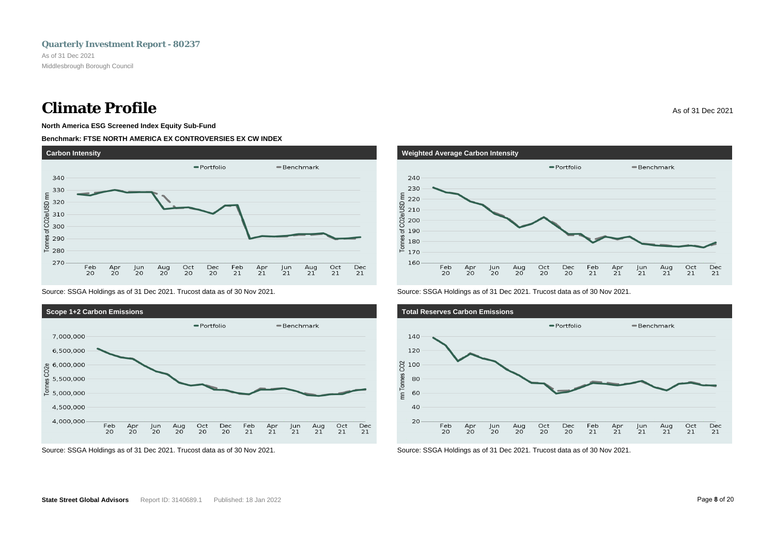### **Climate Profile** As of 31 Dec 2021

### **North America ESG Screened Index Equity Sub-Fund**

#### **Benchmark: FTSE NORTH AMERICA EX CONTROVERSIES EX CW INDEX**



Source: SSGA Holdings as of 31 Dec 2021. Trucost data as of 30 Nov 2021.



Source: SSGA Holdings as of 31 Dec 2021. Trucost data as of 30 Nov 2021.



Source: SSGA Holdings as of 31 Dec 2021. Trucost data as of 30 Nov 2021.



Source: SSGA Holdings as of 31 Dec 2021. Trucost data as of 30 Nov 2021.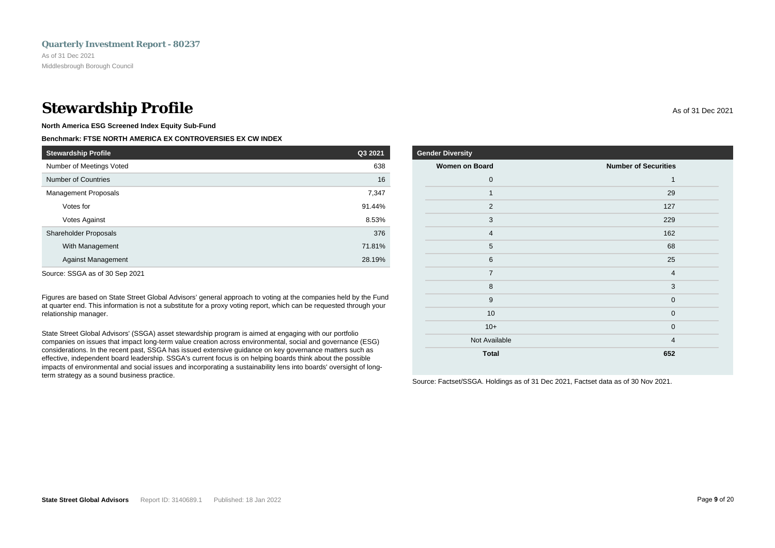### **Stewardship Profile** As of 31 Dec 2021

**North America ESG Screened Index Equity Sub-Fund**

#### **Benchmark: FTSE NORTH AMERICA EX CONTROVERSIES EX CW INDEX**

| <b>Stewardship Profile</b>  | Q3 2021 |
|-----------------------------|---------|
| Number of Meetings Voted    | 638     |
| Number of Countries         | 16      |
| <b>Management Proposals</b> | 7,347   |
| Votes for                   | 91.44%  |
| Votes Against               | 8.53%   |
| Shareholder Proposals       | 376     |
| With Management             | 71.81%  |
| <b>Against Management</b>   | 28.19%  |

Source: SSGA as of 30 Sep 2021

Figures are based on State Street Global Advisors' general approach to voting at the companies held by the Fund at quarter end. This information is not a substitute for a proxy voting report, which can be requested through your relationship manager.

State Street Global Advisors' (SSGA) asset stewardship program is aimed at engaging with our portfolio companies on issues that impact long-term value creation across environmental, social and governance (ESG) considerations. In the recent past, SSGA has issued extensive guidance on key governance matters such as effective, independent board leadership. SSGA's current focus is on helping boards think about the possible impacts of environmental and social issues and incorporating a sustainability lens into boards' oversight of longterm strategy as a sound business practice.

| <b>Gender Diversity</b> |                             |
|-------------------------|-----------------------------|
| <b>Women on Board</b>   | <b>Number of Securities</b> |
| $\mathbf 0$             | 1                           |
| 1                       | 29                          |
| $\overline{2}$          | 127                         |
| 3                       | 229                         |
| $\overline{4}$          | 162                         |
| 5                       | 68                          |
| 6                       | 25                          |
| $\overline{7}$          | $\overline{4}$              |
| 8                       | 3                           |
| 9                       | $\mathbf 0$                 |
| 10                      | $\mathbf 0$                 |
| $10+$                   | $\overline{0}$              |
| Not Available           | $\overline{4}$              |
| <b>Total</b>            | 652                         |

Source: Factset/SSGA. Holdings as of 31 Dec 2021, Factset data as of 30 Nov 2021.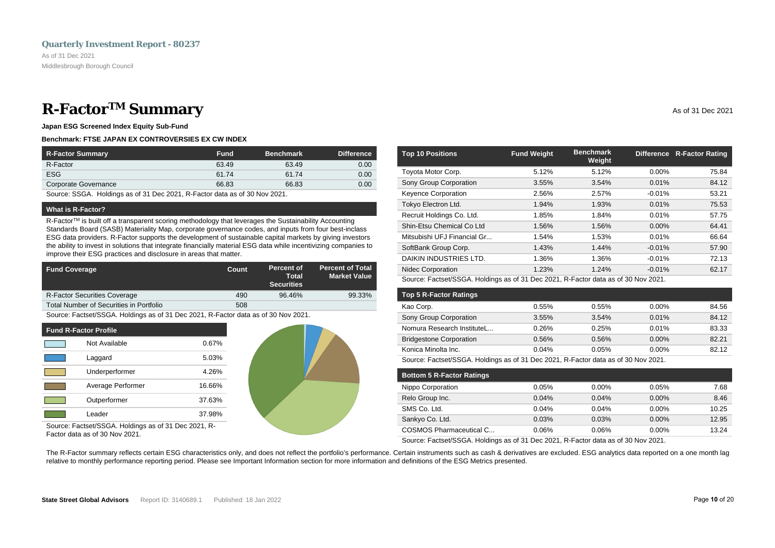### <span id="page-11-0"></span>**R-Factor<sup>TM</sup> Summary** As of 31 Dec 2021

**Japan ESG Screened Index Equity Sub-Fund**

#### **Benchmark: FTSE JAPAN EX CONTROVERSIES EX CW INDEX**

| <b>R-Factor Summary</b> | <b>Fund</b> | <b>Benchmark</b> | <b>Difference</b> |
|-------------------------|-------------|------------------|-------------------|
| R-Factor                | 63.49       | 63.49            | 0.00              |
| <b>ESG</b>              | 61.74       | 61.74            | 0.00              |
| Corporate Governance    | 66.83       | 66.83            | 0.00              |

Source: SSGA. Holdings as of 31 Dec 2021, R-Factor data as of 30 Nov 2021.

#### **What is R-Factor?**

R-Factor™ is built off a transparent scoring methodology that leverages the Sustainability Accounting Standards Board (SASB) Materiality Map, corporate governance codes, and inputs from four best-inclass ESG data providers. R-Factor supports the development of sustainable capital markets by giving investors the ability to invest in solutions that integrate financially material ESG data while incentivizing companies to improve their ESG practices and disclosure in areas that matter.

| <b>Fund Coverage</b>                    | Count | Percent of<br>Total<br><b>Securities</b> | <b>Percent of Total</b><br><b>Market Value</b> |
|-----------------------------------------|-------|------------------------------------------|------------------------------------------------|
| <b>R-Factor Securities Coverage</b>     | 490   | 96.46%                                   | 99.33%                                         |
| Total Number of Securities in Portfolio | 508   |                                          |                                                |

Source: Factset/SSGA. Holdings as of 31 Dec 2021, R-Factor data as of 30 Nov 2021.

| <b>Fund R-Factor Profile</b> |                   |        |  |  |
|------------------------------|-------------------|--------|--|--|
|                              | Not Available     | 0.67%  |  |  |
|                              | Laggard           | 5.03%  |  |  |
|                              | Underperformer    | 4.26%  |  |  |
|                              | Average Performer | 16.66% |  |  |
|                              | Outperformer      | 37.63% |  |  |
|                              | Leader            | 37.98% |  |  |



Source: Factset/SSGA. Holdings as of 31 Dec 2021, R-Factor data as of 30 Nov 2021.

| <b>Top 10 Positions</b>     | <b>Fund Weight</b> | <b>Benchmark</b><br>Weight |          | Difference R-Factor Rating |
|-----------------------------|--------------------|----------------------------|----------|----------------------------|
| Toyota Motor Corp.          | 5.12%              | 5.12%                      | $0.00\%$ | 75.84                      |
| Sony Group Corporation      | 3.55%              | 3.54%                      | 0.01%    | 84.12                      |
| <b>Keyence Corporation</b>  | 2.56%              | 2.57%                      | $-0.01%$ | 53.21                      |
| Tokyo Electron Ltd.         | 1.94%              | 1.93%                      | 0.01%    | 75.53                      |
| Recruit Holdings Co. Ltd.   | 1.85%              | 1.84%                      | 0.01%    | 57.75                      |
| Shin-Etsu Chemical Co Ltd   | 1.56%              | 1.56%                      | $0.00\%$ | 64.41                      |
| Mitsubishi UFJ Financial Gr | 1.54%              | 1.53%                      | 0.01%    | 66.64                      |
| SoftBank Group Corp.        | 1.43%              | 1.44%                      | $-0.01%$ | 57.90                      |
| DAIKIN INDUSTRIES LTD.      | 1.36%              | 1.36%                      | $-0.01%$ | 72.13                      |
| <b>Nidec Corporation</b>    | 1.23%              | 1.24%                      | $-0.01%$ | 62.17                      |

Source: Factset/SSGA. Holdings as of 31 Dec 2021, R-Factor data as of 30 Nov 2021.

| <b>Top 5 R-Factor Ratings</b>  |                                                     |                                  |                             |       |
|--------------------------------|-----------------------------------------------------|----------------------------------|-----------------------------|-------|
| Kao Corp.                      | 0.55%                                               | 0.55%                            | $0.00\%$                    | 84.56 |
| Sony Group Corporation         | 3.55%                                               | 3.54%                            | 0.01%                       | 84.12 |
| Nomura Research InstituteL     | 0.26%                                               | 0.25%                            | 0.01%                       | 83.33 |
| <b>Bridgestone Corporation</b> | 0.56%                                               | 0.56%                            | $0.00\%$                    | 82.21 |
| Konica Minolta Inc.            | 0.04%                                               | 0.05%                            | $0.00\%$                    | 82.12 |
| $\sim$                         | $\sim$ $\sim$ $\sim$<br>$\sim$ $\sim$ $\sim$ $\sim$ | $\sim$ $\sim$ $\sim$ $\sim$<br>. | $\sim$ $\sim$ $\sim$ $\sim$ |       |

Source: Factset/SSGA. Holdings as of 31 Dec 2021, R-Factor data as of 30 Nov 2021.

| <b>Bottom 5 R-Factor Ratings</b> |       |          |          |       |
|----------------------------------|-------|----------|----------|-------|
| Nippo Corporation                | 0.05% | $0.00\%$ | 0.05%    | 7.68  |
| Relo Group Inc.                  | 0.04% | 0.04%    | $0.00\%$ | 8.46  |
| SMS Co. Ltd.                     | 0.04% | 0.04%    | $0.00\%$ | 10.25 |
| Sankyo Co. Ltd.                  | 0.03% | 0.03%    | $0.00\%$ | 12.95 |
| <b>COSMOS Pharmaceutical C</b>   | 0.06% | 0.06%    | $0.00\%$ | 13.24 |

Source: Factset/SSGA. Holdings as of 31 Dec 2021, R-Factor data as of 30 Nov 2021.

The R-Factor summary reflects certain ESG characteristics only, and does not reflect the portfolio's performance. Certain instruments such as cash & derivatives are excluded. ESG analytics data reported on a one month lag relative to monthly performance reporting period. Please see Important Information section for more information and definitions of the ESG Metrics presented.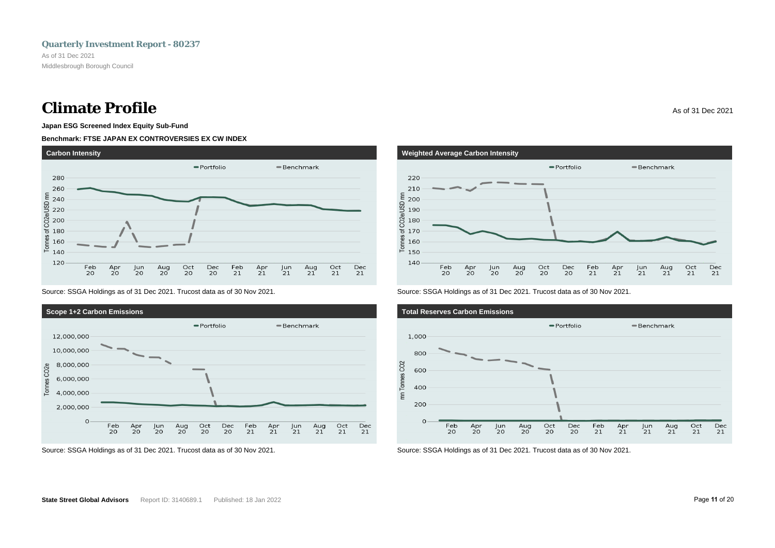### **Climate Profile** As of 31 Dec 2021

### **Japan ESG Screened Index Equity Sub-Fund**

#### **Benchmark: FTSE JAPAN EX CONTROVERSIES EX CW INDEX**



Source: SSGA Holdings as of 31 Dec 2021. Trucost data as of 30 Nov 2021.







Source: SSGA Holdings as of 31 Dec 2021. Trucost data as of 30 Nov 2021.



Source: SSGA Holdings as of 31 Dec 2021. Trucost data as of 30 Nov 2021.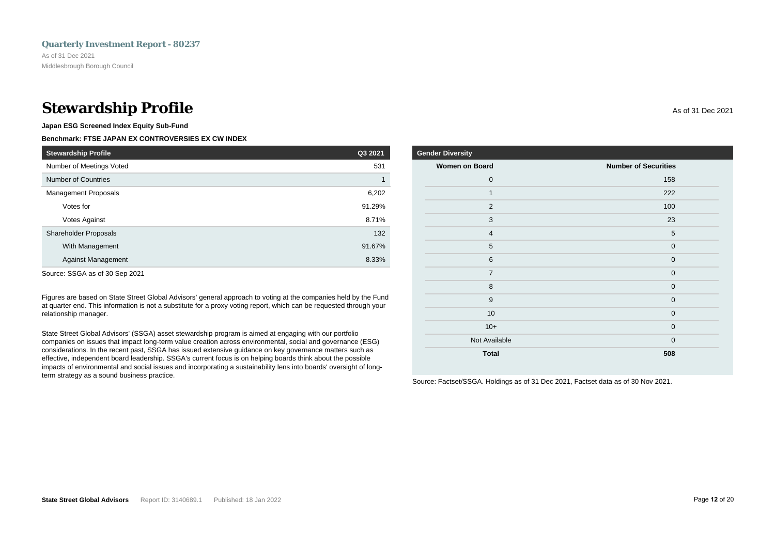### **Stewardship Profile** As of 31 Dec 2021

**Japan ESG Screened Index Equity Sub-Fund**

#### **Benchmark: FTSE JAPAN EX CONTROVERSIES EX CW INDEX**

| <b>Stewardship Profile</b>   | Q3 2021 |
|------------------------------|---------|
| Number of Meetings Voted     | 531     |
| <b>Number of Countries</b>   |         |
| <b>Management Proposals</b>  | 6,202   |
| Votes for                    | 91.29%  |
| Votes Against                | 8.71%   |
| <b>Shareholder Proposals</b> | 132     |
| With Management              | 91.67%  |
| <b>Against Management</b>    | 8.33%   |

Source: SSGA as of 30 Sep 2021

Figures are based on State Street Global Advisors' general approach to voting at the companies held by the Fund at quarter end. This information is not a substitute for a proxy voting report, which can be requested through your relationship manager.

State Street Global Advisors' (SSGA) asset stewardship program is aimed at engaging with our portfolio companies on issues that impact long-term value creation across environmental, social and governance (ESG) considerations. In the recent past, SSGA has issued extensive guidance on key governance matters such as effective, independent board leadership. SSGA's current focus is on helping boards think about the possible impacts of environmental and social issues and incorporating a sustainability lens into boards' oversight of longterm strategy as a sound business practice.

| <b>Gender Diversity</b> |                             |
|-------------------------|-----------------------------|
| <b>Women on Board</b>   | <b>Number of Securities</b> |
| $\mathbf 0$             | 158                         |
| $\mathbf{1}$            | 222                         |
| $\overline{2}$          | 100                         |
| 3                       | 23                          |
| $\overline{4}$          | 5                           |
| 5                       | $\overline{0}$              |
| 6                       | $\Omega$                    |
| $\overline{7}$          | $\mathbf 0$                 |
| 8                       | $\mathbf 0$                 |
| $9$                     | $\overline{0}$              |
| 10                      | $\overline{0}$              |
| $10+$                   | $\overline{0}$              |
| Not Available           | $\mathbf 0$                 |

**Total 508**

Source: Factset/SSGA. Holdings as of 31 Dec 2021, Factset data as of 30 Nov 2021.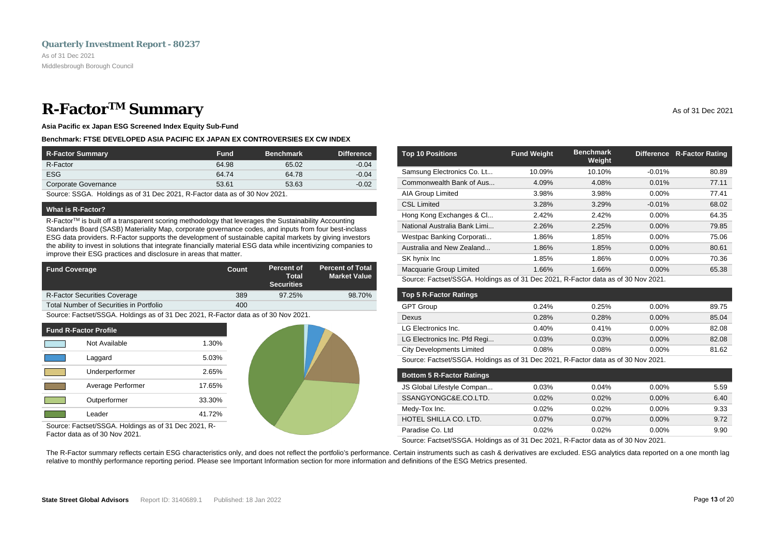### <span id="page-14-0"></span>**R-Factor<sup>TM</sup> Summary** As of 31 Dec 2021

**Asia Pacific ex Japan ESG Screened Index Equity Sub-Fund**

#### **Benchmark: FTSE DEVELOPED ASIA PACIFIC EX JAPAN EX CONTROVERSIES EX CW INDEX**

| R-Factor Summary     | <b>Fund</b> | <b>Benchmark</b> | <b>Difference</b> |
|----------------------|-------------|------------------|-------------------|
| R-Factor             | 64.98       | 65.02            | $-0.04$           |
| <b>ESG</b>           | 64.74       | 64.78            | $-0.04$           |
| Corporate Governance | 53.61       | 53.63            | $-0.02$           |

Source: SSGA. Holdings as of 31 Dec 2021, R-Factor data as of 30 Nov 2021.

#### **What is R-Factor?**

R-Factor<sup>TM</sup> is built off a transparent scoring methodology that leverages the Sustainability Accounting Standards Board (SASB) Materiality Map, corporate governance codes, and inputs from four best-inclass ESG data providers. R-Factor supports the development of sustainable capital markets by giving investors the ability to invest in solutions that integrate financially material ESG data while incentivizing companies to improve their ESG practices and disclosure in areas that matter.

| <b>Fund Coverage</b>                    | Count | Percent of<br>Total<br><b>Securities</b> | <b>Percent of Total</b><br><b>Market Value</b> |
|-----------------------------------------|-------|------------------------------------------|------------------------------------------------|
| <b>R-Factor Securities Coverage</b>     | 389   | 97.25%                                   | 98.70%                                         |
| Total Number of Securities in Portfolio | 400   |                                          |                                                |

Source: Factset/SSGA. Holdings as of 31 Dec 2021, R-Factor data as of 30 Nov 2021.

| <b>Fund R-Factor Profile</b> |                   |        |  |
|------------------------------|-------------------|--------|--|
|                              | Not Available     | 1.30%  |  |
|                              | Laggard           | 5.03%  |  |
|                              | Underperformer    | 2.65%  |  |
|                              | Average Performer | 17.65% |  |
|                              | Outperformer      | 33.30% |  |
|                              | Leader            | 41.72% |  |

Source: Factset/SSGA. Holdings as of 31 Dec 2021, R-Factor data as of 30 Nov 2021.

| <b>Top 10 Positions</b>      | <b>Fund Weight</b> | <b>Benchmark</b><br>Weight | <b>Difference</b> | <b>R-Factor Rating</b> |
|------------------------------|--------------------|----------------------------|-------------------|------------------------|
| Samsung Electronics Co. Lt   | 10.09%             | 10.10%                     | $-0.01%$          | 80.89                  |
| Commonwealth Bank of Aus     | 4.09%              | 4.08%                      | 0.01%             | 77.11                  |
| AIA Group Limited            | 3.98%              | 3.98%                      | $0.00\%$          | 77.41                  |
| <b>CSL Limited</b>           | 3.28%              | 3.29%                      | $-0.01%$          | 68.02                  |
| Hong Kong Exchanges & Cl     | 2.42%              | 2.42%                      | $0.00\%$          | 64.35                  |
| National Australia Bank Limi | 2.26%              | 2.25%                      | $0.00\%$          | 79.85                  |
| Westpac Banking Corporati    | 1.86%              | 1.85%                      | 0.00%             | 75.06                  |
| Australia and New Zealand    | 1.86%              | 1.85%                      | $0.00\%$          | 80.61                  |
| SK hynix Inc                 | 1.85%              | 1.86%                      | $0.00\%$          | 70.36                  |
| Macquarie Group Limited      | 1.66%              | 1.66%                      | $0.00\%$          | 65.38                  |

Source: Factset/SSGA. Holdings as of 31 Dec 2021, R-Factor data as of 30 Nov 2021.

| <b>Top 5 R-Factor Ratings</b>    |       |       |          |       |
|----------------------------------|-------|-------|----------|-------|
| <b>GPT Group</b>                 | 0.24% | 0.25% | $0.00\%$ | 89.75 |
| Dexus                            | 0.28% | 0.28% | $0.00\%$ | 85.04 |
| LG Electronics Inc.              | 0.40% | 0.41% | $0.00\%$ | 82.08 |
| LG Electronics Inc. Pfd Regi     | 0.03% | 0.03% | $0.00\%$ | 82.08 |
| <b>City Developments Limited</b> | 0.08% | 0.08% | $0.00\%$ | 81.62 |
|                                  |       |       |          |       |

Source: Factset/SSGA. Holdings as of 31 Dec 2021, R-Factor data as of 30 Nov 2021.

| <b>Bottom 5 R-Factor Ratings</b> |       |          |          |      |
|----------------------------------|-------|----------|----------|------|
| JS Global Lifestyle Compan       | 0.03% | 0.04%    | $0.00\%$ | 5.59 |
| SSANGYONGC&E.CO.LTD.             | 0.02% | 0.02%    | $0.00\%$ | 6.40 |
| Medy-Tox Inc.                    | 0.02% | 0.02%    | $0.00\%$ | 9.33 |
| HOTEL SHILLA CO. LTD.            | 0.07% | $0.07\%$ | $0.00\%$ | 9.72 |
| Paradise Co. Ltd                 | 0.02% | 0.02%    | $0.00\%$ | 9.90 |

Source: Factset/SSGA. Holdings as of 31 Dec 2021, R-Factor data as of 30 Nov 2021.

The R-Factor summary reflects certain ESG characteristics only, and does not reflect the portfolio's performance. Certain instruments such as cash & derivatives are excluded. ESG analytics data reported on a one month lag relative to monthly performance reporting period. Please see Important Information section for more information and definitions of the ESG Metrics presented.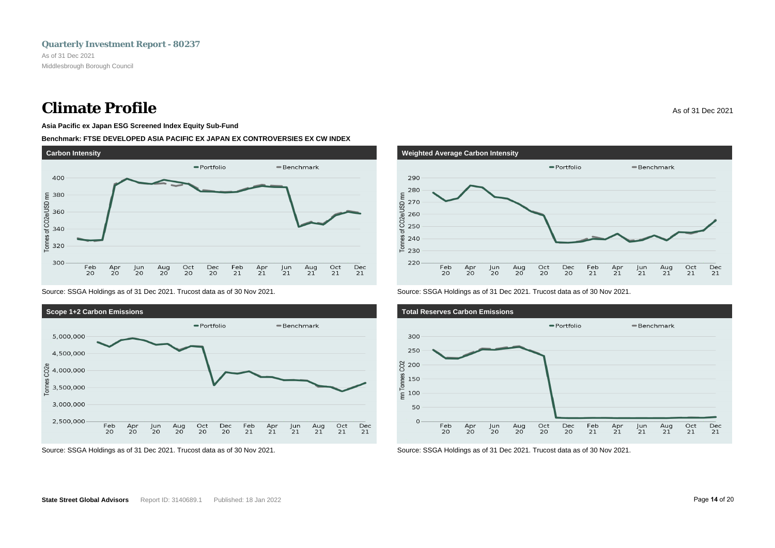### **Climate Profile** As of 31 Dec 2021

**Asia Pacific ex Japan ESG Screened Index Equity Sub-Fund**

#### **Benchmark: FTSE DEVELOPED ASIA PACIFIC EX JAPAN EX CONTROVERSIES EX CW INDEX**



Source: SSGA Holdings as of 31 Dec 2021. Trucost data as of 30 Nov 2021.



Source: SSGA Holdings as of 31 Dec 2021. Trucost data as of 30 Nov 2021.



Source: SSGA Holdings as of 31 Dec 2021. Trucost data as of 30 Nov 2021.



Source: SSGA Holdings as of 31 Dec 2021. Trucost data as of 30 Nov 2021.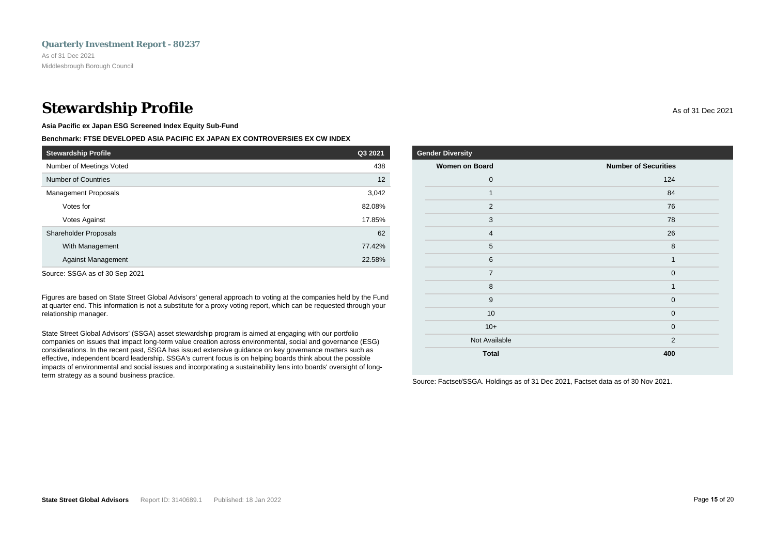### **Stewardship Profile** As of 31 Dec 2021

**Asia Pacific ex Japan ESG Screened Index Equity Sub-Fund**

#### **Benchmark: FTSE DEVELOPED ASIA PACIFIC EX JAPAN EX CONTROVERSIES EX CW INDEX**

| <b>Stewardship Profile</b>   | Q3 2021 |
|------------------------------|---------|
| Number of Meetings Voted     | 438     |
| Number of Countries          | 12      |
| <b>Management Proposals</b>  | 3,042   |
| Votes for                    | 82.08%  |
| Votes Against                | 17.85%  |
| <b>Shareholder Proposals</b> | 62      |
| With Management              | 77.42%  |
| <b>Against Management</b>    | 22.58%  |

Source: SSGA as of 30 Sep 2021

Figures are based on State Street Global Advisors' general approach to voting at the companies held by the Fund at quarter end. This information is not a substitute for a proxy voting report, which can be requested through your relationship manager.

State Street Global Advisors' (SSGA) asset stewardship program is aimed at engaging with our portfolio companies on issues that impact long-term value creation across environmental, social and governance (ESG) considerations. In the recent past, SSGA has issued extensive guidance on key governance matters such as effective, independent board leadership. SSGA's current focus is on helping boards think about the possible impacts of environmental and social issues and incorporating a sustainability lens into boards' oversight of longterm strategy as a sound business practice.

| <b>Gender Diversity</b> |                             |  |
|-------------------------|-----------------------------|--|
| <b>Women on Board</b>   | <b>Number of Securities</b> |  |
| $\mathbf 0$             | 124                         |  |
| 1                       | 84                          |  |
| $\overline{2}$          | 76                          |  |
| 3                       | 78                          |  |
| $\overline{4}$          | 26                          |  |
| 5                       | 8                           |  |
| 6                       | $\mathbf{1}$                |  |
| $\overline{7}$          | $\mathbf 0$                 |  |
| 8                       | $\mathbf{1}$                |  |
| 9                       | $\mathbf 0$                 |  |
| 10                      | $\mathbf{0}$                |  |
| $10+$                   | $\mathbf 0$                 |  |
| Not Available           | $\overline{2}$              |  |
| <b>Total</b>            | 400                         |  |

Source: Factset/SSGA. Holdings as of 31 Dec 2021, Factset data as of 30 Nov 2021.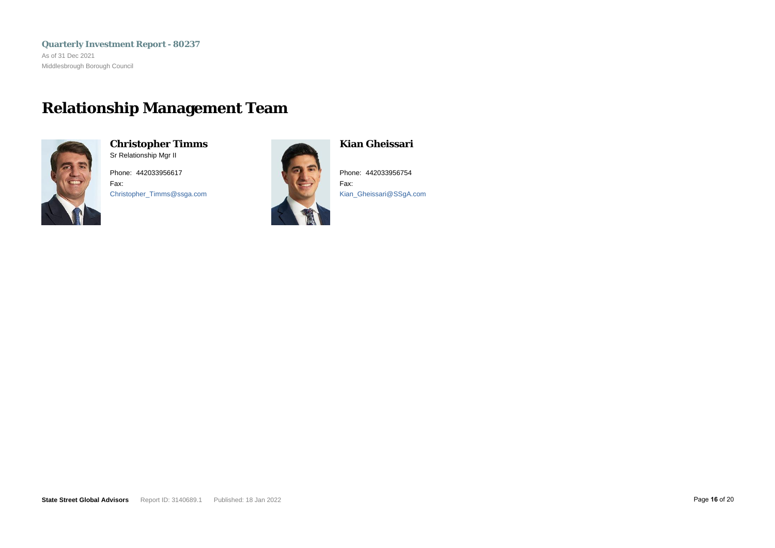<span id="page-17-0"></span>**Quarterly Investment Report - 80237** As of 31 Dec 2021 Middlesbrough Borough Council

### **Relationship Management Team**



**Christopher Timms** Sr Relationship Mgr II

Phone: 442033956617 Fax: Christopher\_Timms@ssga.com



**Kian Gheissari**

Phone: 442033956754 Fax: Kian\_Gheissari@SSgA.com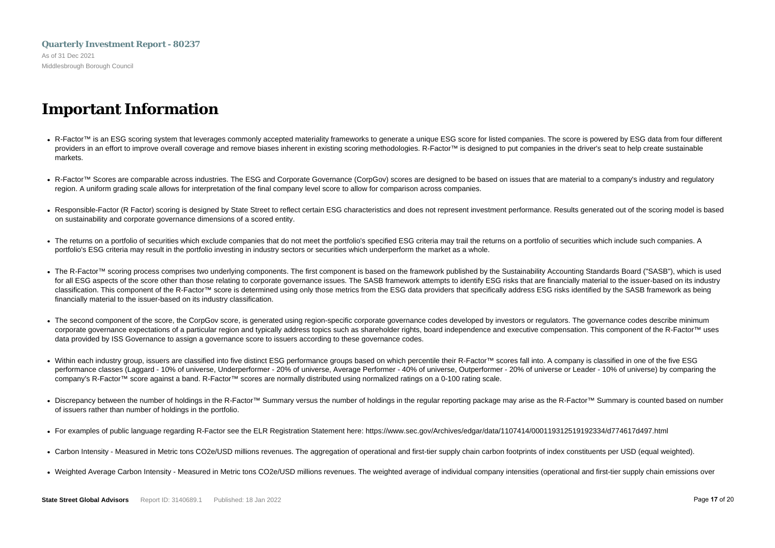### <span id="page-18-0"></span>**Quarterly Investment Report - 80237** As of 31 Dec 2021 Middlesbrough Borough Council

### **Important Information**

- R-Factor™ is an ESG scoring system that leverages commonly accepted materiality frameworks to generate a unique ESG score for listed companies. The score is powered by ESG data from four different providers in an effort to improve overall coverage and remove biases inherent in existing scoring methodologies. R-Factor™ is designed to put companies in the driver's seat to help create sustainable markets.
- R-Factor™ Scores are comparable across industries. The ESG and Corporate Governance (CorpGov) scores are designed to be based on issues that are material to a company's industry and regulatory region. A uniform grading scale allows for interpretation of the final company level score to allow for comparison across companies.
- Responsible-Factor (R Factor) scoring is designed by State Street to reflect certain ESG characteristics and does not represent investment performance. Results generated out of the scoring model is based on sustainability and corporate governance dimensions of a scored entity.
- The returns on a portfolio of securities which exclude companies that do not meet the portfolio's specified ESG criteria may trail the returns on a portfolio of securities which include such companies. A portfolio's ESG criteria may result in the portfolio investing in industry sectors or securities which underperform the market as a whole.
- The R-Factor™ scoring process comprises two underlying components. The first component is based on the framework published by the Sustainability Accounting Standards Board ("SASB"), which is used for all ESG aspects of the score other than those relating to corporate governance issues. The SASB framework attempts to identify ESG risks that are financially material to the issuer-based on its industry classification. This component of the R-Factor™ score is determined using only those metrics from the ESG data providers that specifically address ESG risks identified by the SASB framework as being financially material to the issuer-based on its industry classification.
- The second component of the score, the CorpGov score, is generated using region-specific corporate governance codes developed by investors or regulators. The governance codes describe minimum corporate governance expectations of a particular region and typically address topics such as shareholder rights, board independence and executive compensation. This component of the R-Factor™ uses data provided by ISS Governance to assign a governance score to issuers according to these governance codes.
- Within each industry group, issuers are classified into five distinct ESG performance groups based on which percentile their R-Factor™ scores fall into. A company is classified in one of the five ESG performance classes (Laggard - 10% of universe, Underperformer - 20% of universe, Average Performer - 40% of universe, Outperformer - 20% of universe or Leader - 10% of universe) by comparing the company's R-Factor™ score against a band. R-Factor™ scores are normally distributed using normalized ratings on a 0-100 rating scale.
- Discrepancy between the number of holdings in the R-Factor™ Summary versus the number of holdings in the regular reporting package may arise as the R-Factor™ Summary is counted based on number of issuers rather than number of holdings in the portfolio.
- For examples of public language regarding R-Factor see the ELR Registration Statement here: https://www.sec.gov/Archives/edgar/data/1107414/000119312519192334/d774617d497.html
- Carbon Intensity Measured in Metric tons CO2e/USD millions revenues. The aggregation of operational and first-tier supply chain carbon footprints of index constituents per USD (equal weighted).
- Weighted Average Carbon Intensity Measured in Metric tons CO2e/USD millions revenues. The weighted average of individual company intensities (operational and first-tier supply chain emissions over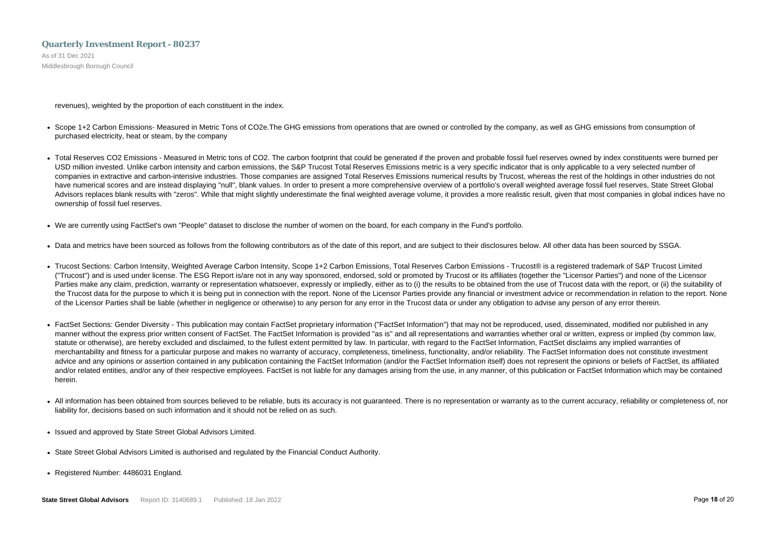As of 31 Dec 2021 Middlesbrough Borough Council

revenues), weighted by the proportion of each constituent in the index.

- Scope 1+2 Carbon Emissions- Measured in Metric Tons of CO2e. The GHG emissions from operations that are owned or controlled by the company, as well as GHG emissions from consumption of purchased electricity, heat or steam, by the company
- Total Reserves CO2 Emissions Measured in Metric tons of CO2. The carbon footprint that could be generated if the proven and probable fossil fuel reserves owned by index constituents were burned per USD million invested. Unlike carbon intensity and carbon emissions, the S&P Trucost Total Reserves Emissions metric is a very specific indicator that is only applicable to a very selected number of companies in extractive and carbon-intensive industries. Those companies are assigned Total Reserves Emissions numerical results by Trucost, whereas the rest of the holdings in other industries do not have numerical scores and are instead displaying "null", blank values. In order to present a more comprehensive overview of a portfolio's overall weighted average fossil fuel reserves, State Street Global Advisors replaces blank results with "zeros". While that might slightly underestimate the final weighted average volume, it provides a more realistic result, given that most companies in global indices have no ownership of fossil fuel reserves.
- We are currently using FactSet's own "People" dataset to disclose the number of women on the board, for each company in the Fund's portfolio.
- Data and metrics have been sourced as follows from the following contributors as of the date of this report, and are subject to their disclosures below. All other data has been sourced by SSGA.
- Trucost Sections: Carbon Intensity, Weighted Average Carbon Intensity, Scope 1+2 Carbon Emissions, Total Reserves Carbon Emissions Trucost® is a registered trademark of S&P Trucost Limited ("Trucost") and is used under license. The ESG Report is/are not in any way sponsored, endorsed, sold or promoted by Trucost or its affiliates (together the "Licensor Parties") and none of the Licensor Parties make any claim, prediction, warranty or representation whatsoever, expressly or impliedly, either as to (i) the results to be obtained from the use of Trucost data with the report, or (ii) the suitability of the Trucost data for the purpose to which it is being put in connection with the report. None of the Licensor Parties provide any financial or investment advice or recommendation in relation to the report. None of the Licensor Parties shall be liable (whether in negligence or otherwise) to any person for any error in the Trucost data or under any obligation to advise any person of any error therein.
- FactSet Sections: Gender Diversity This publication may contain FactSet proprietary information ("FactSet Information") that may not be reproduced, used, disseminated, modified nor published in any manner without the express prior written consent of FactSet. The FactSet Information is provided "as is" and all representations and warranties whether oral or written, express or implied (by common law, statute or otherwise), are hereby excluded and disclaimed, to the fullest extent permitted by law. In particular, with regard to the FactSet Information, FactSet disclaims any implied warranties of merchantability and fitness for a particular purpose and makes no warranty of accuracy, completeness, timeliness, functionality, and/or reliability. The FactSet Information does not constitute investment advice and any opinions or assertion contained in any publication containing the FactSet Information (and/or the FactSet Information itself) does not represent the opinions or beliefs of FactSet, its affiliated and/or related entities, and/or any of their respective employees. FactSet is not liable for any damages arising from the use, in any manner, of this publication or FactSet Information which may be contained herein.
- All information has been obtained from sources believed to be reliable, buts its accuracy is not guaranteed. There is no representation or warranty as to the current accuracy, reliability or completeness of, nor liability for, decisions based on such information and it should not be relied on as such.
- Issued and approved by State Street Global Advisors Limited.
- State Street Global Advisors Limited is authorised and regulated by the Financial Conduct Authority.
- Registered Number: 4486031 England.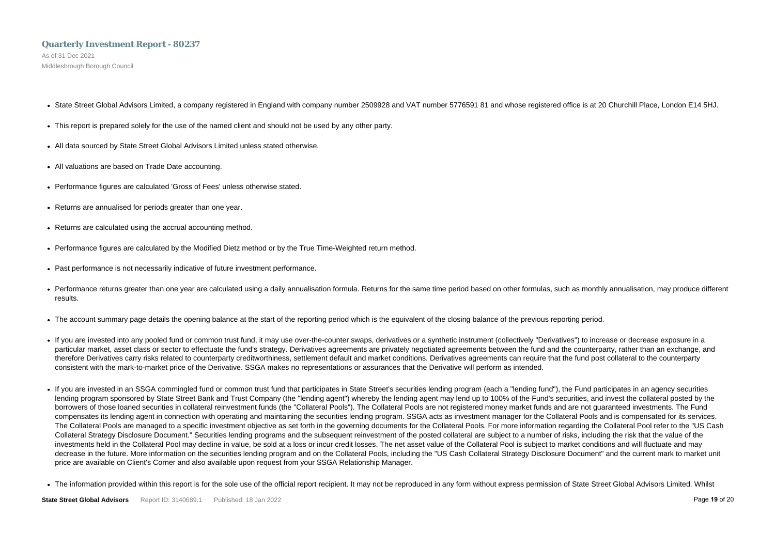As of 31 Dec 2021 Middlesbrough Borough Council

- State Street Global Advisors Limited, a company registered in England with company number 2509928 and VAT number 5776591 81 and whose registered office is at 20 Churchill Place, London E14 5HJ.
- This report is prepared solely for the use of the named client and should not be used by any other party.
- All data sourced by State Street Global Advisors Limited unless stated otherwise.
- All valuations are based on Trade Date accounting.
- Performance figures are calculated 'Gross of Fees' unless otherwise stated.
- Returns are annualised for periods greater than one year.
- Returns are calculated using the accrual accounting method.
- Performance figures are calculated by the Modified Dietz method or by the True Time-Weighted return method.
- Past performance is not necessarily indicative of future investment performance.
- Performance returns greater than one year are calculated using a daily annualisation formula. Returns for the same time period based on other formulas, such as monthly annualisation, may produce different results.
- The account summary page details the opening balance at the start of the reporting period which is the equivalent of the closing balance of the previous reporting period.
- If you are invested into any pooled fund or common trust fund, it may use over-the-counter swaps, derivatives or a synthetic instrument (collectively "Derivatives") to increase or decrease exposure in a particular market, asset class or sector to effectuate the fund's strategy. Derivatives agreements are privately negotiated agreements between the fund and the counterparty, rather than an exchange, and therefore Derivatives carry risks related to counterparty creditworthiness, settlement default and market conditions. Derivatives agreements can require that the fund post collateral to the counterparty consistent with the mark-to-market price of the Derivative. SSGA makes no representations or assurances that the Derivative will perform as intended.
- If you are invested in an SSGA commingled fund or common trust fund that participates in State Street's securities lending program (each a "lending fund"), the Fund participates in an agency securities lending program sponsored by State Street Bank and Trust Company (the "lending agent") whereby the lending agent may lend up to 100% of the Fund's securities, and invest the collateral posted by the borrowers of those loaned securities in collateral reinvestment funds (the "Collateral Pools"). The Collateral Pools are not registered money market funds and are not guaranteed investments. The Fund compensates its lending agent in connection with operating and maintaining the securities lending program. SSGA acts as investment manager for the Collateral Pools and is compensated for its services. The Collateral Pools are managed to a specific investment objective as set forth in the governing documents for the Collateral Pools. For more information regarding the Collateral Pool refer to the "US Cash Collateral Strategy Disclosure Document." Securities lending programs and the subsequent reinvestment of the posted collateral are subject to a number of risks, including the risk that the value of the investments held in the Collateral Pool may decline in value, be sold at a loss or incur credit losses. The net asset value of the Collateral Pool is subject to market conditions and will fluctuate and may decrease in the future. More information on the securities lending program and on the Collateral Pools, including the "US Cash Collateral Strategy Disclosure Document" and the current mark to market unit price are available on Client's Corner and also available upon request from your SSGA Relationship Manager.
- The information provided within this report is for the sole use of the official report recipient. It may not be reproduced in any form without express permission of State Street Global Advisors Limited. Whilst